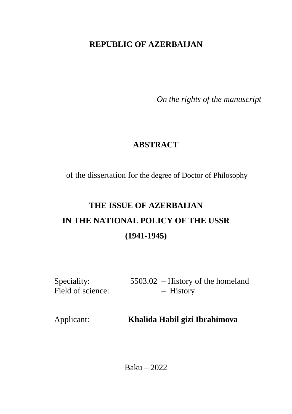## **REPUBLIC OF AZERBAIJAN**

*On the rights of the manuscript* 

## **ABSTRACT**

of the dissertation for the degree of Doctor of Philosophy

# **THE ISSUE OF AZERBAIJAN IN THE NATIONAL POLICY OF THE USSR (1941-1945)**

Speciality: 5503.02 – History of the homeland Field of science: – History

Applicant: **Khalida Habil gizi Ibrahimova**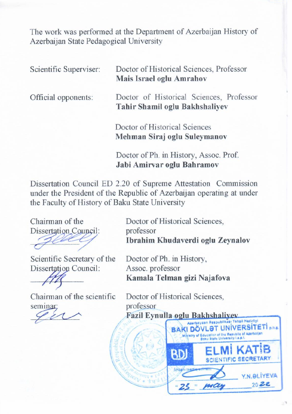The work was performed at the Department of Azerbaijan History of Azerbaijan State Pedagogical University

| Scientific Superviser: | Doctor of Historical Sciences, Professor<br>Mais Israel oglu Amrahov       |
|------------------------|----------------------------------------------------------------------------|
| Official opponents:    | Doctor of Historical Sciences, Professor<br>Tahir Shamil oglu Bakhshaliyev |
|                        | Doctor of Historical Sciences<br>Mehman Siraj oglu Suleymanov              |
|                        | Doctor of Ph. in History, Assoc. Prof.                                     |

Dissertation Council ED 2.20 of Supreme Attestation Commission under the President of the Republic of Azerbaijan operating at under the Faculty of History of Baku State University Chairman of the Doctor of Historical Sciences,

Dissertation Council ED 2.20 of Supreme Attestation Commission

Chairman of the Dissertation Council: professor

 $\sigma$  -  $\sigma$ 

Scientific Secretary of the Dissertation Council:

 $\mathcal{L}$ 

Chairman of the scientific seminar: **Facture Facture Facture Facture Facture Facture Facture Facture Facture Facture Facture** 

Doctor of Historical Sciences. Ibrahim Khudaverdi oglu Zeynalov

Doctor of Ph. in History, Assoc. professor Kamala Telman gizi Najafova

Doctor of Ph. in History,

Doctor of Historical Sciences.

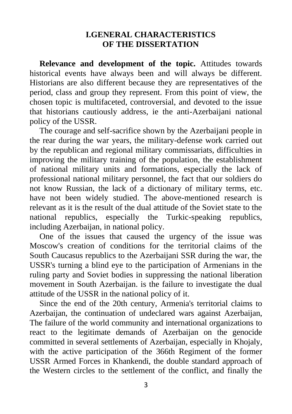#### **I.GENERAL CHARACTERISTICS OF THE DISSERTATION**

**Relevance and development of the topic.** Attitudes towards historical events have always been and will always be different. Historians are also different because they are representatives of the period, class and group they represent. From this point of view, the chosen topic is multifaceted, controversial, and devoted to the issue that historians cautiously address, ie the anti-Azerbaijani national policy of the USSR.

The courage and self-sacrifice shown by the Azerbaijani people in the rear during the war years, the military-defense work carried out by the republican and regional military commissariats, difficulties in improving the military training of the population, the establishment of national military units and formations, especially the lack of professional national military personnel, the fact that our soldiers do not know Russian, the lack of a dictionary of military terms, etc. have not been widely studied. The above-mentioned research is relevant as it is the result of the dual attitude of the Soviet state to the national republics, especially the Turkic-speaking republics, including Azerbaijan, in national policy.

One of the issues that caused the urgency of the issue was Moscow's creation of conditions for the territorial claims of the South Caucasus republics to the Azerbaijani SSR during the war, the USSR's turning a blind eye to the participation of Armenians in the ruling party and Soviet bodies in suppressing the national liberation movement in South Azerbaijan, is the failure to investigate the dual attitude of the USSR in the national policy of it.

Since the end of the 20th century, Armenia's territorial claims to Azerbaijan, the continuation of undeclared wars against Azerbaijan, The failure of the world community and international organizations to react to the legitimate demands of Azerbaijan on the genocide committed in several settlements of Azerbaijan, especially in Khojaly, with the active participation of the 366th Regiment of the former USSR Armed Forces in Khankendi, the double standard approach of the Western circles to the settlement of the conflict, and finally the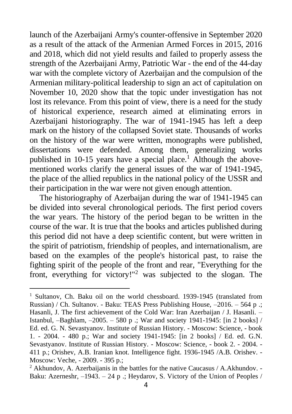launch of the Azerbaijani Army's counter-offensive in September 2020 as a result of the attack of the Armenian Armed Forces in 2015, 2016 and 2018, which did not yield results and failed to properly assess the strength of the Azerbaijani Army, Patriotic War - the end of the 44-day war with the complete victory of Azerbaijan and the compulsion of the Armenian military-political leadership to sign an act of capitulation on November 10, 2020 show that the topic under investigation has not lost its relevance. From this point of view, there is a need for the study of historical experience, research aimed at eliminating errors in Azerbaijani historiography. The war of 1941-1945 has left a deep mark on the history of the collapsed Soviet state. Thousands of works on the history of the war were written, monographs were published, dissertations were defended. Among them, generalizing works published in  $10-15$  years have a special place.<sup>1</sup> Although the abovementioned works clarify the general issues of the war of 1941-1945, the place of the allied republics in the national policy of the USSR and their participation in the war were not given enough attention.

The historiography of Azerbaijan during the war of 1941-1945 can be divided into several chronological periods. The first period covers the war years. The history of the period began to be written in the course of the war. It is true that the books and articles published during this period did not have a deep scientific content, but were written in the spirit of patriotism, friendship of peoples, and internationalism, are based on the examples of the people's historical past, to raise the fighting spirit of the people of the front and rear, "Everything for the front, everything for victory!"<sup>2</sup> was subjected to the slogan. The

<sup>&</sup>lt;sup>1</sup> Sultanov, Ch. Baku oil on the world chessboard. 1939-1945 (translated from Russian) / Ch. Sultanov. - Baku: TEAS Press Publishing House, –2016. – 564 p .; Hasanli, J. The first achievement of the Cold War: Iran Azerbaijan / J. Hasanli. – Istanbul, –Baghlam, –2005. – 580 p .; War and society 1941-1945: [in 2 books] / Ed. ed. G. N. Sevastyanov. Institute of Russian History. - Moscow: Science, - book 1. - 2004. - 480 p.; War and society 1941-1945: [in 2 books] / Ed. ed. G.N. Sevastyanov. Institute of Russian History. - Moscow: Science, - book 2. - 2004. - 411 p.; Orishev, A.B. Iranian knot. Intelligence fight. 1936-1945 /A.B. Orishev. - Moscow: Veche, - 2009. - 395 p.;

<sup>2</sup> Akhundov, A. Azerbaijanis in the battles for the native Caucasus / A.Akhundov. - Baku: Azerneshr,  $-1943. - 24$  p .; Heydarov, S. Victory of the Union of Peoples /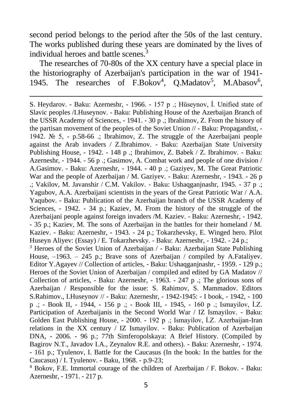second period belongs to the period after the 50s of the last century. The works published during these years are dominated by the lives of individual heroes and battle scenes.<sup>3</sup>

The researches of 70-80s of the XX century have a special place in the historiography of Azerbaijan's participation in the war of 1941- 1945. The researches of F.Bokov<sup>4</sup>, Q.Madatov<sup>5</sup>, M.Abasov<sup>6</sup>,

S. Heydarov. - Baku: Azerneshr, - 1966. - 157 p .; Hüseynov, İ. Unified state of Slavic peoples /I.Huseynov. - Baku: Publishing House of the Azerbaijan Branch of the USSR Academy of Sciences, - 1941. - 30 p .; Ibrahimov, Z. From the history of the partisan movement of the peoples of the Soviet Union // - Baku: Propagandist, - 1942. № 5, - p.58-66 .; Ibrahimov, Z. The struggle of the Azerbaijani people against the Arab invaders / Z.Ibrahimov. - Baku: Azerbaijan State University Publishing House, - 1942. - 148 p .; Ibrahimov, Z. Babek / Z. Ibrahimov. - Baku: Azerneshr, - 1944. - 56 p .; Gasimov, A. Combat work and people of one division / A.Gasimov. - Baku: Azerneshr, - 1944. - 40 p .; Gaziyev, M. The Great Patriotic War and the people of Azerbaijan / M. Gaziyev. - Baku: Azerneshr, - 1943. - 26 p  $\therefore$  Vakilov, M. Javanshir / C.M. Vakilov. - Baku: Ushaqganjnashr, 1945. - 37 p  $\therefore$ Yagubov, A.A. Azerbaijani scientists in the years of the Great Patriotic War / A.A. Yaqubov. - Baku: Publication of the Azerbaijan branch of the USSR Academy of Sciences, - 1942. - 34 p.; Kaziev, M. From the history of the struggle of the Azerbaijani people against foreign invaders /M. Kaziev. - Baku: Azerneshr, - 1942. - 35 p.; Kaziev, M. The sons of Azerbaijan in the battles for their homeland / M. Kaziev. - Baku: Azerneshr, - 1943. - 24 p.; Tokarzhevsky, E. Winged hero. Pilot Huseyn Aliyev: (Essay) / E. Tokarzhevsky. - Baku: Azerneshr, - 1942. - 24 p.; <sup>3</sup> Heroes of the Soviet Union of Azerbaijan / - Baku: Azerbaijan State Publishing House, –1963. – 245 p.; Brave sons of Azerbaijan / compiled by A.Fataliyev. Editor Y.Agayev // Collection of articles, - Baku: Ushaqganjnashr, - 1959. - 129 p.; Heroes of the Soviet Union of Azerbaijan / compiled and edited by GA Madatov // Collection of articles, - Baku: Azerneshr, - 1963. - 247 p .; The glorious sons of Azerbaijan / Responsible for the issue: S. Rahimov, S. Mammadov. Editors S.Rahimov., I.Huseynov // - Baku: Azerneshr, - 1942-1945: - I book, - 1942, - 100 p .; - Book II, - 1944, - 156 p .; - Book III, - 1945, - 160 p .; Ismayilov, İ.Z. Participation of Azerbaijanis in the Second World War / IZ Ismayilov. - Baku: Golden East Publishing House, - 2000. - 192 p .; Ismayilov, İ.Z. Azerbaijan-Iran relations in the XX century / IZ Ismayilov. - Baku: Publication of Azerbaijan DNA, - 2006. - 96 p.; 77th Simferopolskaya: A Brief History. (Compiled by Bagirov N.T., Javadov I.A., Zeynalov R.E. and others). - Baku: Azerneshr, - 1974. - 161 p.; Tyulenov, I. Battle for the Caucasus (In the book: In the battles for the Caucasus) / I. Tyulenov. - Baku, 1968. - p.9-23;

<sup>4</sup> Bokov, F.E. Immortal courage of the children of Azerbaijan / F. Bokov. - Baku: Azerneshr, - 1971. - 217 p.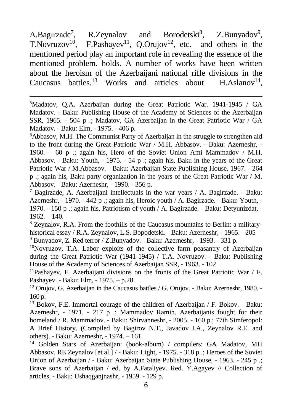A.Bagırzade<sup>7</sup> R.Zeynalov and Borodetski<sup>8</sup>.  $,$  Z.Bunyadov<sup>9</sup>, T. Novruzov<sup>10</sup>, F. Pashayev<sup>11</sup>, Q. Orujov<sup>12</sup>, etc. and others in the mentioned period play an important role in revealing the essence of the mentioned problem. holds. A number of works have been written about the heroism of the Azerbaijani national rifle divisions in the Caucasus battles.<sup>13</sup> Works and articles about  $H.Aslanov<sup>14</sup>$ .

 $5$ Madatov, Q.A. Azerbaijan during the Great Patriotic War. 1941-1945 / GA Madatov. - Baku: Publishing House of the Academy of Sciences of the Azerbaijan SSR, 1965. - 504 p .; Madatov, GA Azerbaijan in the Great Patriotic War / GA Madatov. - Baku: Elm, - 1975. - 406 p.

<sup>6</sup>Abbasov, M.H. The Communist Party of Azerbaijan in the struggle to strengthen aid to the front during the Great Patriotic War / M.H. Abbasov. - Baku: Azerneshr, - 1960. – 60 p .; again his, Hero of the Soviet Union Ami Mammadov / M.H. Abbasov. - Baku: Youth, - 1975. - 54 p .; again his, Baku in the years of the Great Patriotic War / M.Abbasov. - Baku: Azerbaijan State Publishing House, 1967. - 264 p .; again his, Baku party organization in the years of the Great Patriotic War / M. Abbasov. - Baku: Azerneshr, - 1990. - 356 p.

<sup>7</sup> Bagirzade, A. Azerbaijani intellectuals in the war years  $/$  A. Bagirzade. - Baku: Azerneshr, - 1970. - 442 p .; again his, Heroic youth / A. Bagirzade. - Baku: Youth, - 1970. - 150 p .; again his, Patriotism of youth / A. Bagirzade. - Baku: Detyunizdat, -  $1962. - 140.$ 

<sup>8</sup> Zeynalov, R.A. From the foothills of the Caucasus mountains to Berlin: a militaryhistorical essay / R.A. Zeynalov, L.S. Bopodetski. - Baku: Azerneshr, - 1965. - 205 <sup>9</sup> Bunyadov, Z. Red terror / Z.Bunyadov. - Baku: Azerneshr, - 1993. - 331 p.

<sup>10</sup>Novruzov, T.A. Labor exploits of the collective farm peasantry of Azerbaijan during the Great Patriotic War (1941-1945) / T.A. Novruzov. - Baku: Publishing House of the Academy of Sciences of Azerbaijan SSR, - 1963. - 102

<sup>11</sup>Pashayev, F. Azerbaijani divisions on the fronts of the Great Patriotic War / F. Pashayev. - Baku: Elm, - 1975. – p.28.

 $12$  Orujov, G. Azerbaijan in the Caucasus battles / G. Orujov. - Baku: Azerneshr, 1980. -160 p.

<sup>13</sup> Bokov, F.E. Immortal courage of the children of Azerbaijan  $/F$ . Bokov. - Baku: Azerneshr, - 1971. - 217 p .; Mammadov Ramin. Azerbaijanis fought for their homeland / R. Mammadov. - Baku: Shirvanneshr, - 2005. - 160 p.; 77th Simferopol: A Brief History. (Compiled by Bagirov N.T., Javadov I.A., Zeynalov R.E. and others). - Baku: Azerneshr, - 1974. – 161.

<sup>14</sup> Golden Stars of Azerbaijan: (book-album) / compilers: GA Madatov, MH Abbasov, RE Zeynalov [et al.] / - Baku: Light, - 1975. - 318 p .; Heroes of the Soviet Union of Azerbaijan / - Baku: Azerbaijan State Publishing House, - 1963. - 245 p .; Brave sons of Azerbaijan / ed. by A.Fataliyev. Red. Y.Agayev // Collection of articles, - Baku: Ushaqganjnashr, - 1959. - 129 p.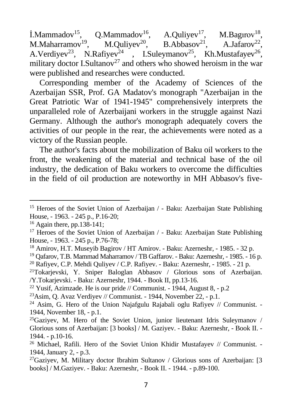$\text{I.Mammadov}^{15}$ , Q.Mammadov<sup>16</sup>, A.Quliyev<sup>17</sup>, M.Bagırov<sup>18</sup>, M.Maharramov<sup>19</sup>, M.Quliyev<sup>20</sup>, B.Abbasov<sup>21</sup>, A.Jafarov<sup>22</sup>, A.Verdiyev<sup>23</sup>, N.Rafiyev<sup>24</sup>, I.Suleymanov<sup>25</sup>, Kh.Mustafayev<sup>26</sup>, military doctor I.Sultanov<sup>27</sup> and others who showed heroism in the war were published and researches were conducted.

Corresponding member of the Academy of Sciences of the Azerbaijan SSR, Prof. GA Madatov's monograph "Azerbaijan in the Great Patriotic War of 1941-1945" comprehensively interprets the unparalleled role of Azerbaijani workers in the struggle against Nazi Germany. Although the author's monograph adequately covers the activities of our people in the rear, the achievements were noted as a victory of the Russian people.

The author's facts about the mobilization of Baku oil workers to the front, the weakening of the material and technical base of the oil industry, the dedication of Baku workers to overcome the difficulties in the field of oil production are noteworthy in MH Abbasov's five-

<sup>&</sup>lt;sup>15</sup> Heroes of the Soviet Union of Azerbaijan / - Baku: Azerbaijan State Publishing House, - 1963. - 245 p., P.16-20;

<sup>16</sup> Again there, pp.138-141;

<sup>&</sup>lt;sup>17</sup> Heroes of the Soviet Union of Azerbaijan / - Baku: Azerbaijan State Publishing House, - 1963. - 245 p., P.76-78;

<sup>18</sup> Amirov, H.T. Museyib Bagirov / HT Amirov. - Baku: Azerneshr, - 1985. - 32 p.

<sup>19</sup> Qafarov, T.B. Mammad Maharramov / TB Gaffarov. - Baku: Azerneshr, - 1985. - 16 p.

<sup>&</sup>lt;sup>20</sup> Rafiyev, C.P. Mehdi Quliyev / C.P. Rafiyev. - Baku: Azerneshr, - 1985. - 21 p.

<sup>21</sup>Tokarjevski, Y. Sniper Baloglan Abbasov / Glorious sons of Azerbaijan. /Y.Tokarjevski. - Baku: Azerneshr, 1944. - Book II, pp.13-16.

<sup>&</sup>lt;sup>22</sup> Yusif, Azimzade. He is our pride // Communist. - 1944, August 8, - p.2

<sup>&</sup>lt;sup>23</sup>Asim, O. Avaz Verdiyev // Communist. - 1944, November 22, - p.1.

<sup>&</sup>lt;sup>24</sup> Asim, G. Hero of the Union Najafgulu Rajabali oglu Rafiyev // Communist. -1944, November 18, - p.1.

 $^{25}$ Gaziyev, M. Hero of the Soviet Union, junior lieutenant Idris Suleymanov / Glorious sons of Azerbaijan: [3 books] / M. Gaziyev. - Baku: Azerneshr, - Book II. - 1944. - p.10-16.

 $26$  Michael, Rafili. Hero of the Soviet Union Khidir Mustafayev // Communist. -1944, January 2, - p.3.

 $^{27}$ Gaziyev, M. Military doctor Ibrahim Sultanov / Glorious sons of Azerbaijan: [3] books] / M.Gaziyev. - Baku: Azerneshr, - Book II. - 1944. - p.89-100.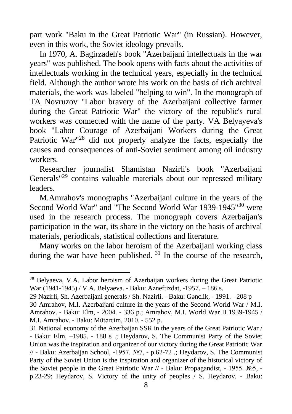part work "Baku in the Great Patriotic War" (in Russian). However, even in this work, the Soviet ideology prevails.

In 1970, A. Bagirzadeh's book "Azerbaijani intellectuals in the war years" was published. The book opens with facts about the activities of intellectuals working in the technical years, especially in the technical field. Although the author wrote his work on the basis of rich archival materials, the work was labeled "helping to win". In the monograph of TA Novruzov "Labor bravery of the Azerbaijani collective farmer during the Great Patriotic War" the victory of the republic's rural workers was connected with the name of the party. VA Belyayeva's book "Labor Courage of Azerbaijani Workers during the Great Patriotic War"<sup>28</sup> did not properly analyze the facts, especially the causes and consequences of anti-Soviet sentiment among oil industry workers.

Researcher journalist Shamistan Nazirli's book "Azerbaijani Generals<sup>"29</sup> contains valuable materials about our repressed military leaders.

M.Amrahov's monographs "Azerbaijani culture in the years of the Second World War" and "The Second World War 1939-1945"<sup>30</sup> were used in the research process. The monograph covers Azerbaijan's participation in the war, its share in the victory on the basis of archival materials, periodicals, statistical collections and literature.

Many works on the labor heroism of the Azerbaijani working class during the war have been published.  $31$  In the course of the research,

<sup>28</sup> Belyaeva, V.A. Labor heroism of Azerbaijan workers during the Great Patriotic War (1941-1945) / V.A. Belyaeva. - Baku: Azneftizdat, -1957. – 186 s.

<sup>29</sup> Nazirli, Sh. Azerbaijani generals / Sh. Nazirli. - Baku: Gənclik, - 1991. - 208 p 30 Amrahov, M.I. Azerbaijani culture in the years of the Second World War / M.I. Amrahov. - Baku: Elm, - 2004. - 336 p.; Amrahov, M.I. World War II 1939-1945 /

M.I. Amrahov. - Baku: Mütərcim, 2010. - 552 p.

<sup>31</sup> National economy of the Azerbaijan SSR in the years of the Great Patriotic War / - Baku: Elm, –1985. - 188 s .; Heydarov, S. The Communist Party of the Soviet Union was the inspiration and organizer of our victory during the Great Patriotic War // - Baku: Azerbaijan School, -1957. №7, - p.62-72 .; Heydarov, S. The Communist Party of the Soviet Union is the inspiration and organizer of the historical victory of the Soviet people in the Great Patriotic War  $//$  - Baku: Propagandist, - 1955. №5, p.23-29; Heydarov, S. Victory of the unity of peoples / S. Heydarov. - Baku: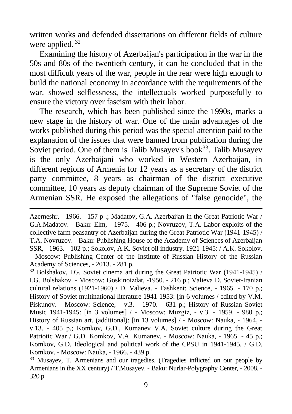written works and defended dissertations on different fields of culture were applied.<sup>32</sup>

Examining the history of Azerbaijan's participation in the war in the 50s and 80s of the twentieth century, it can be concluded that in the most difficult years of the war, people in the rear were high enough to build the national economy in accordance with the requirements of the war. showed selflessness, the intellectuals worked purposefully to ensure the victory over fascism with their labor.

The research, which has been published since the 1990s, marks a new stage in the history of war. One of the main advantages of the works published during this period was the special attention paid to the explanation of the issues that were banned from publication during the Soviet period. One of them is Talib Musayev's book<sup>33</sup>. Talib Musayev is the only Azerbaijani who worked in Western Azerbaijan, in different regions of Armenia for 12 years as a secretary of the district party committee, 8 years as chairman of the district executive committee, 10 years as deputy chairman of the Supreme Soviet of the Armenian SSR. He exposed the allegations of "false genocide", the

Azerneshr, - 1966. - 157 p .; Madatov, G.A. Azerbaijan in the Great Patriotic War / G.A.Madatov. - Baku: Elm, - 1975. - 406 p.; Novruzov, T.A. Labor exploits of the collective farm peasantry of Azerbaijan during the Great Patriotic War (1941-1945) / T.A. Novruzov. - Baku: Publishing House of the Academy of Sciences of Azerbaijan SSR, - 1963. - 102 p.; Sokolov, A.K. Soviet oil industry. 1921-1945: / A.K. Sokolov. - Moscow: Publishing Center of the Institute of Russian History of the Russian Academy of Sciences, - 2013. - 281 p.

 $32$  Bolshakov, I.G. Soviet cinema art during the Great Patriotic War (1941-1945) / I.G. Bolshakov. - Moscow: Goskinoizdat, -1950. - 216 p.; Valieva D. Soviet-Iranian cultural relations (1921-1960) / D. Valieva. - Tashkent: Science, - 1965. - 170 p.; History of Soviet multinational literature 1941-1953: [in 6 volumes / edited by V.M. Piskunov. - Moscow: Science, - v.3. - 1970. - 631 p.; History of Russian Soviet Music 1941-1945: [in 3 volumes] / - Moscow: Muzgiz, - v.3. - 1959. - 980 p.; History of Russian art. (additional): [in 13 volumes] / - Moscow: Nauka, - 1964, v.13. - 405 p.; Komkov, G.D., Kumanev V.A. Soviet culture during the Great Patriotic War / G.D. Komkov, V.A. Kumanev. - Moscow: Nauka, - 1965. - 45 p.; Komkov, G.D. Ideological and political work of the CPSU in 1941-1945. / G.D. Komkov. - Moscow: Nauka, - 1966. - 439 p.

<sup>&</sup>lt;sup>33</sup> Musayev, T. Armenians and our tragedies. (Tragedies inflicted on our people by Armenians in the XX century) / T.Musayev. - Baku: Nurlar-Polygraphy Center, - 2008. - 320 p.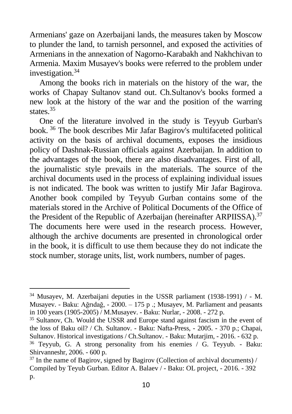Armenians' gaze on Azerbaijani lands, the measures taken by Moscow to plunder the land, to tarnish personnel, and exposed the activities of Armenians in the annexation of Nagorno-Karabakh and Nakhchivan to Armenia. Maxim Musayev's books were referred to the problem under investigation.<sup>34</sup>

Among the books rich in materials on the history of the war, the works of Chapay Sultanov stand out. Ch.Sultanov's books formed a new look at the history of the war and the position of the warring states. 35

One of the literature involved in the study is Teyyub Gurban's book. <sup>36</sup> The book describes Mir Jafar Bagirov's multifaceted political activity on the basis of archival documents, exposes the insidious policy of Dashnak-Russian officials against Azerbaijan. In addition to the advantages of the book, there are also disadvantages. First of all, the journalistic style prevails in the materials. The source of the archival documents used in the process of explaining individual issues is not indicated. The book was written to justify Mir Jafar Bagirova. Another book compiled by Teyyub Gurban contains some of the materials stored in the Archive of Political Documents of the Office of the President of the Republic of Azerbaijan (hereinafter ARPIISSA).<sup>37</sup> The documents here were used in the research process. However, although the archive documents are presented in chronological order in the book, it is difficult to use them because they do not indicate the stock number, storage units, list, work numbers, number of pages.

<sup>34</sup> Musayev, M. Azerbaijani deputies in the USSR parliament (1938-1991) / - M. Musayev. - Baku: Ağrıdağ, - 2000. – 175 p .; Musayev, M. Parliament and peasants in 100 years (1905-2005) / M.Musayev. - Baku: Nurlar, - 2008. - 272 p.

<sup>35</sup> Sultanov, Ch. Would the USSR and Europe stand against fascism in the event of the loss of Baku oil? / Ch. Sultanov. - Baku: Nafta-Press, - 2005. - 370 p.; Chapai, Sultanov. Historical investigations / Ch.Sultanov. - Baku: Mutarjim, - 2016. - 632 p.

<sup>36</sup> Teyyub, G. A strong personality from his enemies / G. Teyyub. - Baku: Shirvanneshr, 2006. - 600 p.

 $37$  In the name of Bagirov, signed by Bagirov (Collection of archival documents) / Compiled by Teyub Gurban. Editor A. Balaev / - Baku: OL project, - 2016. - 392 p.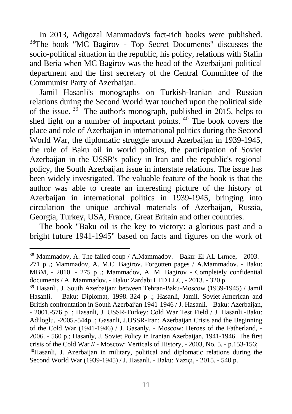In 2013, Adigozal Mammadov's fact-rich books were published. <sup>38</sup>The book "MC Bagirov - Top Secret Documents" discusses the socio-political situation in the republic, his policy, relations with Stalin and Beria when MC Bagirov was the head of the Azerbaijani political department and the first secretary of the Central Committee of the Communist Party of Azerbaijan.

Jamil Hasanli's monographs on Turkish-Iranian and Russian relations during the Second World War touched upon the political side of the issue.<sup>39</sup> The author's monograph, published in 2015, helps to shed light on a number of important points. <sup>40</sup> The book covers the place and role of Azerbaijan in international politics during the Second World War, the diplomatic struggle around Azerbaijan in 1939-1945, the role of Baku oil in world politics, the participation of Soviet Azerbaijan in the USSR's policy in Iran and the republic's regional policy, the South Azerbaijan issue in interstate relations. The issue has been widely investigated. The valuable feature of the book is that the author was able to create an interesting picture of the history of Azerbaijan in international politics in 1939-1945, bringing into circulation the unique archival materials of Azerbaijan, Russia, Georgia, Turkey, USA, France, Great Britain and other countries.

The book "Baku oil is the key to victory: a glorious past and a bright future 1941-1945" based on facts and figures on the work of

<sup>38</sup> Mammadov, A. The failed coup / A.Mammadov. - Baku: El-AL Lırnçe, - 2003.– 271 p .; Mammadov, A. M.C. Bagirov. Forgotten pages / A.Mammadov. - Baku: MBM, - 2010. - 275 p .; Mammadov, A. M. Bagirov - Completely confidential documents / A. Mammadov. - Baku: Zardabi LTD LLC, - 2013. - 320 p.

<sup>39</sup> Hasanli, J. South Azerbaijan: between Tehran-Baku-Moscow (1939-1945) / Jamil Hasanli. – Baku: Diplomat, 1998.-324 p .; Hasanli, Jamil. Soviet-American and British confrontation in South Azerbaijan 1941-1946 / J. Hasanli. - Baku: Azerbaijan, - 2001.-576 p .; Hasanli, J. USSR-Turkey: Cold War Test Field / J. Hasanli.-Baku: Adiloglu, -2005.-544p .; Gasanli, J.USSR-Iran: Azerbaijan Crisis and the Beginning of the Cold War (1941-1946) / J. Gasanly. - Moscow: Heroes of the Fatherland, - 2006. - 560 p.; Hasanly, J. Soviet Policy in Iranian Azerbaijan, 1941-1946. The first crisis of the Cold War // - Moscow: Verticals of History, - 2003, No. 5. - p.153-156; <sup>40</sup>Hasanli, J. Azerbaijan in military, political and diplomatic relations during the Second World War (1939-1945) / J. Hasanli. - Baku: Yazıçı, - 2015. - 540 p.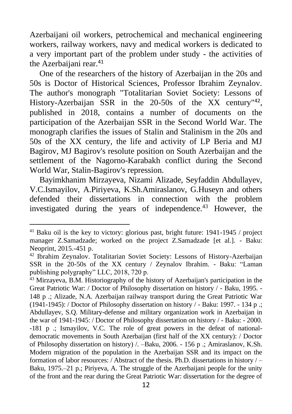Azerbaijani oil workers, petrochemical and mechanical engineering workers, railway workers, navy and medical workers is dedicated to a very important part of the problem under study - the activities of the Azerbaijani rear.<sup>41</sup>

One of the researchers of the history of Azerbaijan in the 20s and 50s is Doctor of Historical Sciences, Professor Ibrahim Zeynalov. The author's monograph "Totalitarian Soviet Society: Lessons of History-Azerbaijan SSR in the 20-50s of the XX century<sup>142</sup>, published in 2018, contains a number of documents on the participation of the Azerbaijan SSR in the Second World War. The monograph clarifies the issues of Stalin and Stalinism in the 20s and 50s of the XX century, the life and activity of LP Beria and MJ Bagirov, MJ Bagirov's resolute position on South Azerbaijan and the settlement of the Nagorno-Karabakh conflict during the Second World War, Stalin-Bagirov's repression.

Bayimkhanim Mirzayeva, Nizami Alizade, Seyfaddin Abdullayev, V.C.Ismayilov, A.Piriyeva, K.Sh.Amiraslanov, G.Huseyn and others defended their dissertations in connection with the problem investigated during the years of independence.<sup>43</sup> However, the

 $41$  Baku oil is the key to victory: glorious past, bright future: 1941-1945 / project manager Z.Samadzade; worked on the project Z.Samadzade [et al.]. - Baku: Neoprint, 2015.-451 p.

<sup>42</sup> Ibrahim Zeynalov. Totalitarian Soviet Society: Lessons of History-Azerbaijan SSR in the 20-50s of the XX century / Zeynalov Ibrahim. - Baku: "Laman publishing polygraphy" LLC, 2018, 720 p.

<sup>&</sup>lt;sup>43</sup> Mirzayeva, B.M. Historiography of the history of Azerbaijan's participation in the Great Patriotic War: / Doctor of Philosophy dissertation on history / - Baku, 1995. - 148 p .; Alizade, N.A. Azerbaijan railway transport during the Great Patriotic War (1941-1945): / Doctor of Philosophy dissertation on history / - Baku: 1997. - 134 p .; Abdullayev, S.Q. Military-defense and military organization work in Azerbaijan in the war of 1941-1945: / Doctor of Philosophy dissertation on history / - Baku: - 2000. -181 p .; Ismayilov, V.C. The role of great powers in the defeat of nationaldemocratic movements in South Azerbaijan (first half of the XX century): / Doctor of Philosophy dissertation on history) /. –Baku, 2006. - 156 p .; Amiraslanov, K.Sh. Modern migration of the population in the Azerbaijan SSR and its impact on the formation of labor resources: / Abstract of the thesis. Ph.D. dissertations in history  $/$  – Baku, 1975.–21 p.; Piriyeva, A. The struggle of the Azerbaijani people for the unity of the front and the rear during the Great Patriotic War: dissertation for the degree of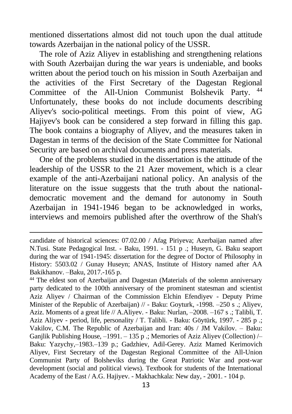mentioned dissertations almost did not touch upon the dual attitude towards Azerbaijan in the national policy of the USSR.

The role of Aziz Aliyev in establishing and strengthening relations with South Azerbaijan during the war years is undeniable, and books written about the period touch on his mission in South Azerbaijan and the activities of the First Secretary of the Dagestan Regional Committee of the All-Union Communist Bolshevik Party. 44 Unfortunately, these books do not include documents describing Aliyev's socio-political meetings. From this point of view, AG Hajiyev's book can be considered a step forward in filling this gap. The book contains a biography of Aliyev, and the measures taken in Dagestan in terms of the decision of the State Committee for National Security are based on archival documents and press materials.

One of the problems studied in the dissertation is the attitude of the leadership of the USSR to the 21 Azer movement, which is a clear example of the anti-Azerbaijani national policy. An analysis of the literature on the issue suggests that the truth about the nationaldemocratic movement and the demand for autonomy in South Azerbaijan in 1941-1946 began to be acknowledged in works, interviews and memoirs published after the overthrow of the Shah's

candidate of historical sciences: 07.02.00 / Afag Piriyeva; Azerbaijan named after N.Tusi. State Pedagogical Inst. - Baku, 1991. - 151 p .; Huseyn, G. Baku seaport during the war of 1941-1945: dissertation for the degree of Doctor of Philosophy in History: 5503.02 / Gunay Huseyn; ANAS, Institute of History named after AA Bakikhanov. –Baku, 2017.-165 p.

<sup>44</sup> The eldest son of Azerbaijan and Dagestan (Materials of the solemn anniversary party dedicated to the 100th anniversary of the prominent statesman and scientist Aziz Aliyev / Chairman of the Commission Elchin Efendiyev - Deputy Prime Minister of the Republic of Azerbaijan) // - Baku: Goyturk, -1998. -250 s .; Aliyev, Aziz. Moments of a great life // A.Aliyev. - Baku: Nurlan, –2008. –167 s .; Talibli, T. Aziz Aliyev - period, life, personality / T. Talibli. - Baku: Göytürk, 1997. - 285 p .; Vakilov, C.M. The Republic of Azerbaijan and Iran: 40s / JM Vakilov. – Baku: Ganjlik Publishing House,  $-1991 - 135$  p .; Memories of Aziz Aliyev (Collection)  $/-$ Baku: Yazychy,–1983.–139 p.; Gadzhiev, Adil-Gerey. Aziz Mamed Kerimovich Aliyev, First Secretary of the Dagestan Regional Committee of the All-Union Communist Party of Bolsheviks during the Great Patriotic War and post-war development (social and political views). Textbook for students of the International Academy of the East / A.G. Hajiyev. - Makhachkala: New day, - 2001. - 104 p.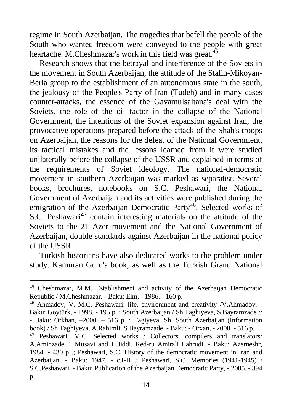regime in South Azerbaijan. The tragedies that befell the people of the South who wanted freedom were conveyed to the people with great heartache. M.Cheshmazar's work in this field was great.<sup>45</sup>

Research shows that the betrayal and interference of the Soviets in the movement in South Azerbaijan, the attitude of the Stalin-Mikoyan-Beria group to the establishment of an autonomous state in the south, the jealousy of the People's Party of Iran (Tudeh) and in many cases counter-attacks, the essence of the Gavamulsaltana's deal with the Soviets, the role of the oil factor in the collapse of the National Government, the intentions of the Soviet expansion against Iran, the provocative operations prepared before the attack of the Shah's troops on Azerbaijan, the reasons for the defeat of the National Government, its tactical mistakes and the lessons learned from it were studied unilaterally before the collapse of the USSR and explained in terms of the requirements of Soviet ideology. The national-democratic movement in southern Azerbaijan was marked as separatist. Several books, brochures, notebooks on S.C. Peshawari, the National Government of Azerbaijan and its activities were published during the emigration of the Azerbaijan Democratic Party<sup>46</sup>. Selected works of S.C. Peshawari<sup>47</sup> contain interesting materials on the attitude of the Soviets to the 21 Azer movement and the National Government of Azerbaijan, double standards against Azerbaijan in the national policy of the USSR.

Turkish historians have also dedicated works to the problem under study. Kamuran Guru's book, as well as the Turkish Grand National

<sup>45</sup> Cheshmazar, M.M. Establishment and activity of the Azerbaijan Democratic Republic / M.Cheshmazar. - Baku: Elm, - 1986. - 160 p.

<sup>46</sup> Ahmadov, V. M.C. Peshawari: life, environment and creativity /V.Ahmadov. - Baku: Göytürk, - 1998. - 195 p .; South Azerbaijan / Sh.Taghiyeva, S.Bayramzade // - Baku: Orkhan, –2000. – 516 p .; Tagiyeva, Sh. South Azerbaijan (Information book) / Sh.Taghiyeva, A.Rahimli, S.Bayramzade. - Baku: - Orxan, - 2000. - 516 p.

<sup>&</sup>lt;sup>47</sup> Peshawari, M.C. Selected works / Collectors, compilers and translators: A.Aminzade, T.Musavi and H.Jiddi. Red-ru Amirali Lahrudi. - Baku: Azerneshr, 1984. - 430 p .; Peshawari, S.C. History of the democratic movement in Iran and Azerbaijan. - Baku: 1947. - c.I-II .; Peshawari, S.C. Memories (1941-1945) / S.C.Peshawari. - Baku: Publication of the Azerbaijan Democratic Party, - 2005. - 394 p.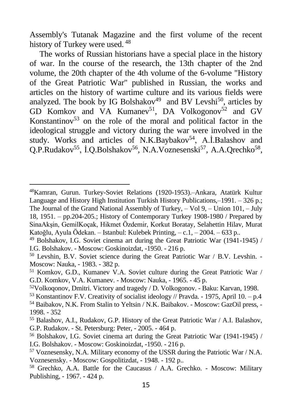Assembly's Tutanak Magazine and the first volume of the recent history of Turkey were used.  $48$ 

The works of Russian historians have a special place in the history of war. In the course of the research, the 13th chapter of the 2nd volume, the 20th chapter of the 4th volume of the 6-volume "History of the Great Patriotic War" published in Russian, the works and articles on the history of wartime culture and its various fields were analyzed. The book by IG Bolshakov<sup>49</sup> and BV Levshi<sup>50</sup>, articles by GD Komkov and VA Kumanev<sup>51</sup>, DA Volkogonov<sup>52</sup> and GV Konstantinov<sup>53</sup> on the role of the moral and political factor in the ideological struggle and victory during the war were involved in the study. Works and articles of N.K.Baybakov<sup>54</sup>, A.İ.Balashov and Q.P.Rudakov<sup>55</sup>, İ.Q.Bolshakov<sup>56</sup>, N.A.Voznesenski<sup>57</sup>, A.A.Qrechko<sup>58</sup>,

<sup>48</sup>Kamran, Gurun. Turkey-Soviet Relations (1920-1953).–Ankara, Atatürk Kultur Language and History High Institution Turkish History Publications,–1991. – 326 p.; The Journal of the Grand National Assembly of Turkey, – Vol 9, – Union 101, – July 18, 1951. – pp.204-205.; History of Contemporary Turkey 1908-1980 / Prepared by SinaAkşin, GemilKoçak, Hikmet Özdemir, Korkut Boratay, Selahettin Hilav, Murat Katoğlu, Ayula Ödekan. – Istanbul: Kulebek Printing, – c.1, – 2004. – 633 p..

<sup>49</sup> Bolshakov, I.G. Soviet cinema art during the Great Patriotic War (1941-1945) / I.G. Bolshakov. - Moscow: Goskinoizdat, -1950. - 216 p.

<sup>50</sup> Levshin, B.V. Soviet science during the Great Patriotic War / B.V. Levshin. - Moscow: Nauka, - 1983. - 382 p.

<sup>51</sup> Komkov, G.D., Kumanev V.A. Soviet culture during the Great Patriotic War / G.D. Komkov, V.A. Kumanev. - Moscow: Nauka, - 1965. - 45 p.

<sup>52</sup>Volkoqonov, Dmitri. Victory and tragedy / D. Volkogonov. - Baku: Karvan, 1998.

<sup>&</sup>lt;sup>53</sup> Konstantinov F.V. Creativity of socialist ideology // Pravda. - 1975, April 10. – p.4

<sup>54</sup> Baibakov, N.K. From Stalin to Yeltsin / N.K. Baibakov. - Moscow: GazOil press, - 1998. - 352

<sup>55</sup> Balashov, A.I., Rudakov, G.P. History of the Great Patriotic War / A.I. Balashov, G.P. Rudakov. - St. Petersburg: Peter, - 2005. - 464 p.

<sup>56</sup> Bolshakov, I.G. Soviet cinema art during the Great Patriotic War (1941-1945) / I.G. Bolshakov. - Moscow: Goskinoizdat, -1950. - 216 p.

<sup>57</sup> Voznesensky, N.A. Military economy of the USSR during the Patriotic War / N.A. Voznesensky. - Moscow: Gospolitizdat, - 1948. - 192 p..

<sup>58</sup> Grechko, A.A. Battle for the Caucasus / A.A. Grechko. - Moscow: Military Publishing, - 1967. - 424 p.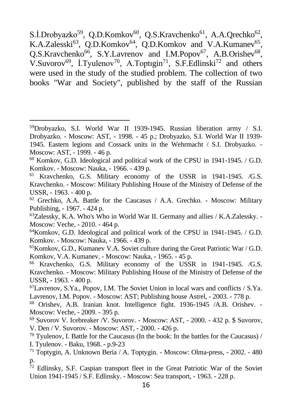S.İ.Drobyazko<sup>59</sup>, Q.D.Komkov<sup>60</sup>, Q.S.Kravchenko<sup>61</sup>, A.A.Qrechko<sup>62</sup>, K.A.Zalesski<sup>63</sup>, Q.D.Komkov<sup>64</sup>, Q.D.Komkov and V.A.Kumanev<sup>65</sup>, Q.S.Kravchenko<sup>66</sup>, S.Y.Lavrenov and I.M.Popov<sup>67</sup>, A.B.Orishev<sup>68</sup>, V.Suvorov<sup>69</sup>, I.Tyulenov<sup>70</sup>, A.Toptigin<sup>71</sup>, S.F.Edlinski<sup>72</sup> and others were used in the study of the studied problem. The collection of two books "War and Society", published by the staff of the Russian

 $62$  Grechko, A.A. Battle for the Caucasus / A.A. Grechko. - Moscow: Military Publishing, - 1967. - 424 p.

 $^{63}$ Zalessky, K.A. Who's Who in World War II. Germany and allies / K.A.Zalessky. -Moscow: Veche, - 2010. - 464 p.

<sup>64</sup>Komkov, G.D. Ideological and political work of the CPSU in 1941-1945. / G.D. Komkov. - Moscow: Nauka, - 1966. - 439 p.

 $65$ Komkov, G.D., Kumanev V.A. Soviet culture during the Great Patriotic War / G.D. Komkov, V.A. Kumanev. - Moscow: Nauka, - 1965. - 45 p.

<sup>66</sup> Kravchenko, G.S. Military economy of the USSR in 1941-1945. /G.S. Kravchenko. - Moscow: Military Publishing House of the Ministry of Defense of the USSR, - 1963. - 400 p.

 $^{67}$ Lavrenov, S.Ya., Popov, I.M. The Soviet Union in local wars and conflicts / S.Ya. Lavrenov, I.M. Popov. - Moscow: AST; Publishing house Astrel, - 2003. - 778 p.

<sup>68</sup> Orishev, A.B. Iranian knot. Intelligence fight. 1936-1945 /A.B. Orishev. - Moscow: Veche, - 2009. - 395 p.

<sup>69</sup> Suvorov V. Icebreaker /V. Suvorov. - Moscow: AST, - 2000. - 432 p. \$ Suvorov, V. Den / V. Suvorov. - Moscow: AST, - 2000. - 426 p.

 $70$  Tyulenov, I. Battle for the Caucasus (In the book: In the battles for the Caucasus) / I. Tyulenov. - Baku, 1968. - p.9-23

<sup>71</sup> Toptygin, A. Unknown Beria / A. Toptygin. - Moscow: Olma-press, - 2002. - 480 p.

 $72$  Edlinsky, S.F. Caspian transport fleet in the Great Patriotic War of the Soviet Union 1941-1945 / S.F. Edlinsky. - Moscow: Sea transport, - 1963. - 228 p.

<sup>59</sup>Drobyazko, S.I. World War II 1939-1945. Russian liberation army / S.I. Drobyazko. - Moscow: AST, - 1998. - 45 p.; Drobyazko, S.I. World War II 1939- 1945. Eastern legions and Cossack units in the Wehrmacht / S.I. Drobyazko. - Moscow: AST, - 1999. - 46 p.

<sup>60</sup> Komkov, G.D. Ideological and political work of the CPSU in 1941-1945. / G.D. Komkov. - Moscow: Nauka, - 1966. - 439 p.

<sup>61</sup> Kravchenko, G.S. Military economy of the USSR in 1941-1945. /G.S. Kravchenko. - Moscow: Military Publishing House of the Ministry of Defense of the USSR, - 1963. - 400 p.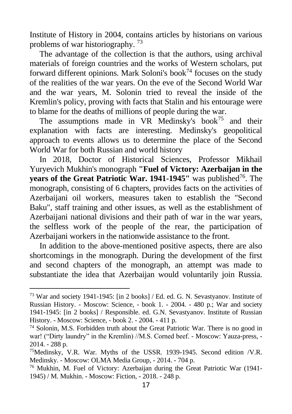Institute of History in 2004, contains articles by historians on various problems of war historiography. <sup>73</sup>

The advantage of the collection is that the authors, using archival materials of foreign countries and the works of Western scholars, put forward different opinions. Mark Soloni's book<sup>74</sup> focuses on the study of the realities of the war years. On the eve of the Second World War and the war years, M. Solonin tried to reveal the inside of the Kremlin's policy, proving with facts that Stalin and his entourage were to blame for the deaths of millions of people during the war.

The assumptions made in  $VR$  Medinsky's book<sup>75</sup> and their explanation with facts are interesting. Medinsky's geopolitical approach to events allows us to determine the place of the Second World War for both Russian and world history

In 2018, Doctor of Historical Sciences, Professor Mikhail Yuryevich Mukhin's monograph **"Fuel of Victory: Azerbaijan in the years of the Great Patriotic War. 1941-1945"** was published<sup>76</sup>. The monograph, consisting of 6 chapters, provides facts on the activities of Azerbaijani oil workers, measures taken to establish the "Second Baku", staff training and other issues, as well as the establishment of Azerbaijani national divisions and their path of war in the war years, the selfless work of the people of the rear, the participation of Azerbaijani workers in the nationwide assistance to the front.

In addition to the above-mentioned positive aspects, there are also shortcomings in the monograph. During the development of the first and second chapters of the monograph, an attempt was made to substantiate the idea that Azerbaijan would voluntarily join Russia.

<sup>73</sup> War and society 1941-1945: [in 2 books] / Ed. ed. G. N. Sevastyanov. Institute of Russian History. - Moscow: Science, - book 1. - 2004. - 480 p.; War and society 1941-1945: [in 2 books] / Responsible. ed. G.N. Sevastyanov. Institute of Russian History. - Moscow: Science, - book 2. - 2004. - 411 p.

<sup>74</sup> Solonin, M.S. Forbidden truth about the Great Patriotic War. There is no good in war! ("Dirty laundry" in the Kremlin) //M.S. Corned beef. - Moscow: Yauza-press, - 2014. - 288 p.

<sup>75</sup>Medinsky, V.R. War. Myths of the USSR. 1939-1945. Second edition /V.R. Medinsky. - Moscow: OLMA Media Group, - 2014. - 704 p.

<sup>76</sup> Mukhin, M. Fuel of Victory: Azerbaijan during the Great Patriotic War (1941- 1945) / M. Mukhin. - Moscow: Fiction, - 2018. - 248 p.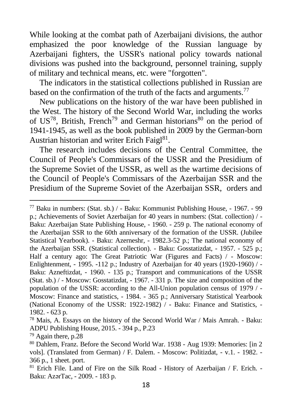While looking at the combat path of Azerbaijani divisions, the author emphasized the poor knowledge of the Russian language by Azerbaijani fighters, the USSR's national policy towards national divisions was pushed into the background, personnel training, supply of military and technical means, etc. were "forgotten".

The indicators in the statistical collections published in Russian are based on the confirmation of the truth of the facts and arguments.<sup>77</sup>

New publications on the history of the war have been published in the West. The history of the Second World War, including the works of US<sup>78</sup>, British, French<sup>79</sup> and German historians<sup>80</sup> on the period of 1941-1945, as well as the book published in 2009 by the German-born Austrian historian and writer Erich Faigl<sup>81</sup>.

The research includes decisions of the Central Committee, the Council of People's Commissars of the USSR and the Presidium of the Supreme Soviet of the USSR, as well as the wartime decisions of the Council of People's Commissars of the Azerbaijan SSR and the Presidium of the Supreme Soviet of the Azerbaijan SSR, orders and

<sup>77</sup> Baku in numbers: (Stat. sb.) / - Baku: Kommunist Publishing House, - 1967. - 99 p.; Achievements of Soviet Azerbaijan for 40 years in numbers: (Stat. collection) / - Baku: Azerbaijan State Publishing House, - 1960. - 259 p. The national economy of the Azerbaijan SSR to the 60th anniversary of the formation of the USSR. (Jubilee Statistical Yearbook). - Baku: Azerneshr, - 1982.3-52 p.; The national economy of the Azerbaijan SSR. (Statistical collection). - Baku: Gosstatizdat, - 1957. - 525 p.; Half a century ago: The Great Patriotic War (Figures and Facts) / - Moscow: Enlightenment, - 1995. -112 p.; Industry of Azerbaijan for 40 years (1920-1960) / - Baku: Azneftizdat, - 1960. - 135 p.; Transport and communications of the USSR (Stat. sb.) / - Moscow: Gosstatizdat, - 1967. - 331 p. The size and composition of the population of the USSR: according to the All-Union population census of 1979 / - Moscow: Finance and statistics, - 1984. - 365 p.; Anniversary Statistical Yearbook (National Economy of the USSR: 1922-1982) / - Baku: Finance and Statistics, - 1982. - 623 p.

<sup>&</sup>lt;sup>78</sup> Mais, A. Essays on the history of the Second World War / Mais Amrah. - Baku: ADPU Publishing House, 2015. - 394 p., P.23

<sup>79</sup> Again there, p.28

<sup>80</sup> Dahlem, Franz. Before the Second World War. 1938 - Aug 1939: Memories: [in 2 vols]. (Translated from German) / F. Dalem. - Moscow: Politizdat, - v.1. - 1982. - 366 p., 1 sheet. port.

<sup>81</sup> Erich File. Land of Fire on the Silk Road - History of Azerbaijan / F. Erich. - Baku: AzərTac, - 2009. - 183 p.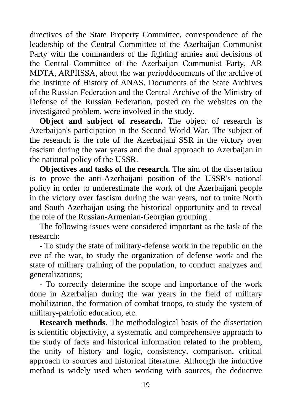directives of the State Property Committee, correspondence of the leadership of the Central Committee of the Azerbaijan Communist Party with the commanders of the fighting armies and decisions of the Central Committee of the Azerbaijan Communist Party, AR MDTA, ARPİISSA, about the war perioddocuments of the archive of the Institute of History of ANAS. Documents of the State Archives of the Russian Federation and the Central Archive of the Ministry of Defense of the Russian Federation, posted on the websites on the investigated problem, were involved in the study.

**Object and subject of research.** The object of research is Azerbaijan's participation in the Second World War. The subject of the research is the role of the Azerbaijani SSR in the victory over fascism during the war years and the dual approach to Azerbaijan in the national policy of the USSR.

**Objectives and tasks of the research.** The aim of the dissertation is to prove the anti-Azerbaijani position of the USSR's national policy in order to underestimate the work of the Azerbaijani people in the victory over fascism during the war years, not to unite North and South Azerbaijan using the historical opportunity and to reveal the role of the Russian-Armenian-Georgian grouping .

The following issues were considered important as the task of the research:

- To study the state of military-defense work in the republic on the eve of the war, to study the organization of defense work and the state of military training of the population, to conduct analyzes and generalizations;

- To correctly determine the scope and importance of the work done in Azerbaijan during the war years in the field of military mobilization, the formation of combat troops, to study the system of military-patriotic education, etc.

**Research methods.** The methodological basis of the dissertation is scientific objectivity, a systematic and comprehensive approach to the study of facts and historical information related to the problem, the unity of history and logic, consistency, comparison, critical approach to sources and historical literature. Although the inductive method is widely used when working with sources, the deductive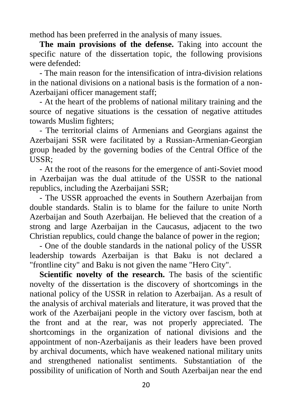method has been preferred in the analysis of many issues.

**The main provisions of the defense.** Taking into account the specific nature of the dissertation topic, the following provisions were defended:

- The main reason for the intensification of intra-division relations in the national divisions on a national basis is the formation of a non-Azerbaijani officer management staff;

- At the heart of the problems of national military training and the source of negative situations is the cessation of negative attitudes towards Muslim fighters;

- The territorial claims of Armenians and Georgians against the Azerbaijani SSR were facilitated by a Russian-Armenian-Georgian group headed by the governing bodies of the Central Office of the USSR;

- At the root of the reasons for the emergence of anti-Soviet mood in Azerbaijan was the dual attitude of the USSR to the national republics, including the Azerbaijani SSR;

- The USSR approached the events in Southern Azerbaijan from double standards. Stalin is to blame for the failure to unite North Azerbaijan and South Azerbaijan. He believed that the creation of a strong and large Azerbaijan in the Caucasus, adjacent to the two Christian republics, could change the balance of power in the region;

- One of the double standards in the national policy of the USSR leadership towards Azerbaijan is that Baku is not declared a "frontline city" and Baku is not given the name "Hero City".

**Scientific novelty of the research.** The basis of the scientific novelty of the dissertation is the discovery of shortcomings in the national policy of the USSR in relation to Azerbaijan. As a result of the analysis of archival materials and literature, it was proved that the work of the Azerbaijani people in the victory over fascism, both at the front and at the rear, was not properly appreciated. The shortcomings in the organization of national divisions and the appointment of non-Azerbaijanis as their leaders have been proved by archival documents, which have weakened national military units and strengthened nationalist sentiments. Substantiation of the possibility of unification of North and South Azerbaijan near the end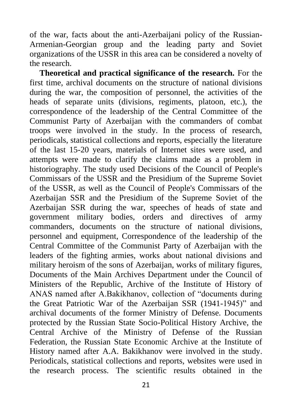of the war, facts about the anti-Azerbaijani policy of the Russian-Armenian-Georgian group and the leading party and Soviet organizations of the USSR in this area can be considered a novelty of the research.

**Theoretical and practical significance of the research.** For the first time, archival documents on the structure of national divisions during the war, the composition of personnel, the activities of the heads of separate units (divisions, regiments, platoon, etc.), the correspondence of the leadership of the Central Committee of the Communist Party of Azerbaijan with the commanders of combat troops were involved in the study. In the process of research, periodicals, statistical collections and reports, especially the literature of the last 15-20 years, materials of Internet sites were used, and attempts were made to clarify the claims made as a problem in historiography. The study used Decisions of the Council of People's Commissars of the USSR and the Presidium of the Supreme Soviet of the USSR, as well as the Council of People's Commissars of the Azerbaijan SSR and the Presidium of the Supreme Soviet of the Azerbaijan SSR during the war, speeches of heads of state and government military bodies, orders and directives of army commanders, documents on the structure of national divisions, personnel and equipment, Correspondence of the leadership of the Central Committee of the Communist Party of Azerbaijan with the leaders of the fighting armies, works about national divisions and military heroism of the sons of Azerbaijan, works of military figures, Documents of the Main Archives Department under the Council of Ministers of the Republic, Archive of the Institute of History of ANAS named after A.Bakikhanov, collection of "documents during the Great Patriotic War of the Azerbaijan SSR (1941-1945)" and archival documents of the former Ministry of Defense. Documents protected by the Russian State Socio-Political History Archive, the Central Archive of the Ministry of Defense of the Russian Federation, the Russian State Economic Archive at the Institute of History named after A.A. Bakikhanov were involved in the study. Periodicals, statistical collections and reports, websites were used in the research process. The scientific results obtained in the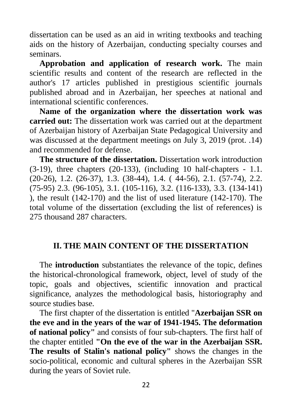dissertation can be used as an aid in writing textbooks and teaching aids on the history of Azerbaijan, conducting specialty courses and seminars.

**Approbation and application of research work.** The main scientific results and content of the research are reflected in the author's 17 articles published in prestigious scientific journals published abroad and in Azerbaijan, her speeches at national and international scientific conferences.

**Name of the organization where the dissertation work was carried out:** The dissertation work was carried out at the department of Azerbaijan history of Azerbaijan State Pedagogical University and was discussed at the department meetings on July 3, 2019 (prot. .14) and recommended for defense.

**The structure of the dissertation.** Dissertation work introduction  $(3-19)$ , three chapters  $(20-133)$ , (including 10 half-chapters - 1.1. (20-26), 1.2. (26-37), 1.3. (38-44), 1.4. ( 44-56), 2.1. (57-74), 2.2. (75-95) 2.3. (96-105), 3.1. (105-116), 3.2. (116-133), 3.3. (134-141) ), the result (142-170) and the list of used literature (142-170). The total volume of the dissertation (excluding the list of references) is 275 thousand 287 characters.

### **II. THE MAIN CONTENT OF THE DISSERTATION**

The **introduction** substantiates the relevance of the topic, defines the historical-chronological framework, object, level of study of the topic, goals and objectives, scientific innovation and practical significance, analyzes the methodological basis, historiography and source studies base.

The first chapter of the dissertation is entitled "**Azerbaijan SSR on the eve and in the years of the war of 1941-1945. The deformation of national policy"** and consists of four sub-chapters. The first half of the chapter entitled **"On the eve of the war in the Azerbaijan SSR. The results of Stalin's national policy"** shows the changes in the socio-political, economic and cultural spheres in the Azerbaijan SSR during the years of Soviet rule.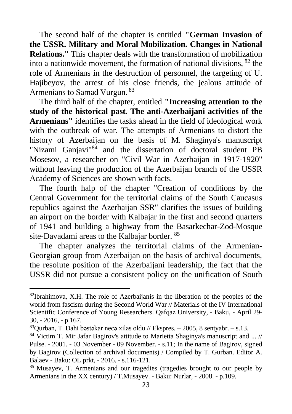The second half of the chapter is entitled **"German Invasion of the USSR. Military and Moral Mobilization. Changes in National Relations."** This chapter deals with the transformation of mobilization into a nationwide movement, the formation of national divisions, <sup>82</sup> the role of Armenians in the destruction of personnel, the targeting of U. Hajibeyov, the arrest of his close friends, the jealous attitude of Armenians to Samad Vurgun. <sup>83</sup>

The third half of the chapter, entitled **"Increasing attention to the study of the historical past. The anti-Azerbaijani activities of the Armenians"** identifies the tasks ahead in the field of ideological work with the outbreak of war. The attempts of Armenians to distort the history of Azerbaijan on the basis of M. Shaginya's manuscript "Nizami Ganjavi"<sup>84</sup> and the dissertation of doctoral student PB Mosesov, a researcher on "Civil War in Azerbaijan in 1917-1920" without leaving the production of the Azerbaijan branch of the USSR Academy of Sciences are shown with facts.

The fourth halp of the chapter "Creation of conditions by the Central Government for the territorial claims of the South Caucasus republics against the Azerbaijan SSR" clarifies the issues of building an airport on the border with Kalbajar in the first and second quarters of 1941 and building a highway from the Basarkechar-Zod-Mosque site-Davadami areas to the Kalbajar border. <sup>85</sup>

The chapter analyzes the territorial claims of the Armenian-Georgian group from Azerbaijan on the basis of archival documents, the resolute position of the Azerbaijani leadership, the fact that the USSR did not pursue a consistent policy on the unification of South

 $82$ Ibrahimova, X.H. The role of Azerbaijanis in the liberation of the peoples of the world from fascism during the Second World War // Materials of the IV International Scientific Conference of Young Researchers. Qafqaz University, - Baku, - April 29- 30, - 2016, - p.167.

 $83$ Qurban, T. Dahi bəstəkar necə xilas oldu // Ekspres. – 2005, 8 sentyabr. – s.13.

<sup>84</sup> Victim T. Mir Jafar Bagirov's attitude to Marietta Shaginya's manuscript and ... // Pulse. - 2001. - 03 November - 09 November. - s.11; In the name of Bagirov, signed by Bagirov (Collection of archival documents) / Compiled by T. Gurban. Editor A. Balaev - Baku: OL prkt, - 2016. - s.116-121.

<sup>85</sup> Musayev, T. Armenians and our tragedies (tragedies brought to our people by Armenians in the XX century) / T.Musayev. - Baku: Nurlar, - 2008. - p.109.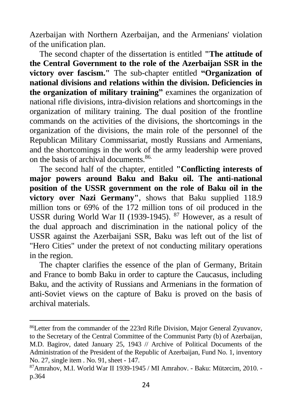Azerbaijan with Northern Azerbaijan, and the Armenians' violation of the unification plan.

The second chapter of the dissertation is entitled **"The attitude of the Central Government to the role of the Azerbaijan SSR in the victory over fascism."** The sub-chapter entitled **"Organization of national divisions and relations within the division. Deficiencies in the organization of military training"** examines the organization of national rifle divisions, intra-division relations and shortcomings in the organization of military training. The dual position of the frontline commands on the activities of the divisions, the shortcomings in the organization of the divisions, the main role of the personnel of the Republican Military Commissariat, mostly Russians and Armenians, and the shortcomings in the work of the army leadership were proved on the basis of archival documents.86.

The second half of the chapter, entitled **"Conflicting interests of major powers around Baku and Baku oil. The anti-national position of the USSR government on the role of Baku oil in the victory over Nazi Germany"**, shows that Baku supplied 118.9 million tons or 69% of the 172 million tons of oil produced in the USSR during World War II (1939-1945). <sup>87</sup> However, as a result of the dual approach and discrimination in the national policy of the USSR against the Azerbaijani SSR, Baku was left out of the list of "Hero Cities" under the pretext of not conducting military operations in the region.

The chapter clarifies the essence of the plan of Germany, Britain and France to bomb Baku in order to capture the Caucasus, including Baku, and the activity of Russians and Armenians in the formation of anti-Soviet views on the capture of Baku is proved on the basis of archival materials.

<sup>86</sup>Letter from the commander of the 223rd Rifle Division, Major General Zyuvanov, to the Secretary of the Central Committee of the Communist Party (b) of Azerbaijan, M.D. Bagirov, dated January 25, 1943 // Archive of Political Documents of the Administration of the President of the Republic of Azerbaijan, Fund No. 1, inventory No. 27, single item . No. 91, sheet - 147.

<sup>87</sup>Amrahov, M.I. World War II 1939-1945 / MI Amrahov. - Baku: Mütərcim, 2010. p.364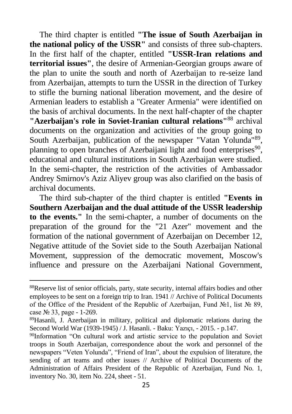The third chapter is entitled **"The issue of South Azerbaijan in the national policy of the USSR"** and consists of three sub-chapters. In the first half of the chapter, entitled **"USSR-Iran relations and territorial issues"**, the desire of Armenian-Georgian groups aware of the plan to unite the south and north of Azerbaijan to re-seize land from Azerbaijan, attempts to turn the USSR in the direction of Turkey to stifle the burning national liberation movement, and the desire of Armenian leaders to establish a "Greater Armenia" were identified on the basis of archival documents. In the next half-chapter of the chapter **"Azerbaijan's role in Soviet-Iranian cultural relations"**<sup>88</sup> archival documents on the organization and activities of the group going to South Azerbaijan, publication of the newspaper "Vatan Yolunda"<sup>89</sup>, planning to open branches of Azerbaijani light and food enterprises<sup>90</sup>, educational and cultural institutions in South Azerbaijan were studied. In the semi-chapter, the restriction of the activities of Ambassador Andrey Smirnov's Aziz Aliyev group was also clarified on the basis of archival documents.

The third sub-chapter of the third chapter is entitled **"Events in Southern Azerbaijan and the dual attitude of the USSR leadership to the events."** In the semi-chapter, a number of documents on the preparation of the ground for the "21 Azer" movement and the formation of the national government of Azerbaijan on December 12, Negative attitude of the Soviet side to the South Azerbaijan National Movement, suppression of the democratic movement, Moscow's influence and pressure on the Azerbaijani National Government,

<sup>&</sup>lt;sup>88</sup>Reserve list of senior officials, party, state security, internal affairs bodies and other employees to be sent on a foreign trip to Iran. 1941 // Archive of Political Documents of the Office of the President of the Republic of Azerbaijan, Fund  $\mathbb{N}_2$ , list  $\mathbb{N}_2$  89, case № 33, page - 1-269.

<sup>89</sup>Hasanli, J. Azerbaijan in military, political and diplomatic relations during the Second World War (1939-1945) / J. Hasanli. - Baku: Yazıçı, - 2015. - p.147.

<sup>90</sup>Information "On cultural work and artistic service to the population and Soviet troops in South Azerbaijan, correspondence about the work and personnel of the newspapers "Veten Yolunda", "Friend of Iran", about the expulsion of literature, the sending of art teams and other issues // Archive of Political Documents of the Administration of Affairs President of the Republic of Azerbaijan, Fund No. 1, inventory No. 30, item No. 224, sheet - 51.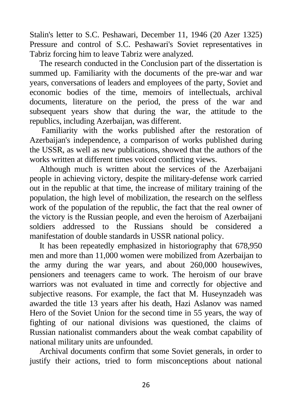Stalin's letter to S.C. Peshawari, December 11, 1946 (20 Azer 1325) Pressure and control of S.C. Peshawari's Soviet representatives in Tabriz forcing him to leave Tabriz were analyzed.

The research conducted in the Conclusion part of the dissertation is summed up. Familiarity with the documents of the pre-war and war years, conversations of leaders and employees of the party, Soviet and economic bodies of the time, memoirs of intellectuals, archival documents, literature on the period, the press of the war and subsequent years show that during the war, the attitude to the republics, including Azerbaijan, was different.

Familiarity with the works published after the restoration of Azerbaijan's independence, a comparison of works published during the USSR, as well as new publications, showed that the authors of the works written at different times voiced conflicting views.

Although much is written about the services of the Azerbaijani people in achieving victory, despite the military-defense work carried out in the republic at that time, the increase of military training of the population, the high level of mobilization, the research on the selfless work of the population of the republic, the fact that the real owner of the victory is the Russian people, and even the heroism of Azerbaijani soldiers addressed to the Russians should be considered a manifestation of double standards in USSR national policy.

It has been repeatedly emphasized in historiography that 678,950 men and more than 11,000 women were mobilized from Azerbaijan to the army during the war years, and about 260,000 housewives, pensioners and teenagers came to work. The heroism of our brave warriors was not evaluated in time and correctly for objective and subjective reasons. For example, the fact that M. Huseynzadeh was awarded the title 13 years after his death, Hazi Aslanov was named Hero of the Soviet Union for the second time in 55 years, the way of fighting of our national divisions was questioned, the claims of Russian nationalist commanders about the weak combat capability of national military units are unfounded.

Archival documents confirm that some Soviet generals, in order to justify their actions, tried to form misconceptions about national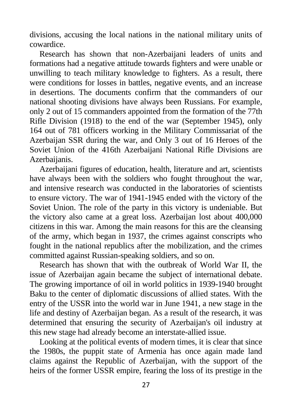divisions, accusing the local nations in the national military units of cowardice.

Research has shown that non-Azerbaijani leaders of units and formations had a negative attitude towards fighters and were unable or unwilling to teach military knowledge to fighters. As a result, there were conditions for losses in battles, negative events, and an increase in desertions. The documents confirm that the commanders of our national shooting divisions have always been Russians. For example, only 2 out of 15 commanders appointed from the formation of the 77th Rifle Division (1918) to the end of the war (September 1945), only 164 out of 781 officers working in the Military Commissariat of the Azerbaijan SSR during the war, and Only 3 out of 16 Heroes of the Soviet Union of the 416th Azerbaijani National Rifle Divisions are Azerbaijanis.

Azerbaijani figures of education, health, literature and art, scientists have always been with the soldiers who fought throughout the war, and intensive research was conducted in the laboratories of scientists to ensure victory. The war of 1941-1945 ended with the victory of the Soviet Union. The role of the party in this victory is undeniable. But the victory also came at a great loss. Azerbaijan lost about 400,000 citizens in this war. Among the main reasons for this are the cleansing of the army, which began in 1937, the crimes against conscripts who fought in the national republics after the mobilization, and the crimes committed against Russian-speaking soldiers, and so on.

Research has shown that with the outbreak of World War II, the issue of Azerbaijan again became the subject of international debate. The growing importance of oil in world politics in 1939-1940 brought Baku to the center of diplomatic discussions of allied states. With the entry of the USSR into the world war in June 1941, a new stage in the life and destiny of Azerbaijan began. As a result of the research, it was determined that ensuring the security of Azerbaijan's oil industry at this new stage had already become an interstate-allied issue.

Looking at the political events of modern times, it is clear that since the 1980s, the puppit state of Armenia has once again made land claims against the Republic of Azerbaijan, with the support of the heirs of the former USSR empire, fearing the loss of its prestige in the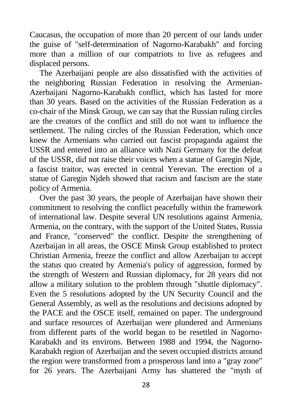Caucasus, the occupation of more than 20 percent of our lands under the guise of "self-determination of Nagorno-Karabakh" and forcing more than a million of our compatriots to live as refugees and displaced persons.

The Azerbaijani people are also dissatisfied with the activities of the neighboring Russian Federation in resolving the Armenian-Azerbaijani Nagorno-Karabakh conflict, which has lasted for more than 30 years. Based on the activities of the Russian Federation as a co-chair of the Minsk Group, we can say that the Russian ruling circles are the creators of the conflict and still do not want to influence the settlement. The ruling circles of the Russian Federation, which once knew the Armenians who carried out fascist propaganda against the USSR and entered into an alliance with Nazi Germany for the defeat of the USSR, did not raise their voices when a statue of Garegin Njde, a fascist traitor, was erected in central Yerevan. The erection of a statue of Garegin Njdeh showed that racism and fascism are the state policy of Armenia.

Over the past 30 years, the people of Azerbaijan have shown their commitment to resolving the conflict peacefully within the framework of international law. Despite several UN resolutions against Armenia, Armenia, on the contrary, with the support of the United States, Russia and France, "conserved" the conflict. Despite the strengthening of Azerbaijan in all areas, the OSCE Minsk Group established to protect Christian Armenia, freeze the conflict and allow Azerbaijan to accept the status quo created by Armenia's policy of aggression, formed by the strength of Western and Russian diplomacy, for 28 years did not allow a military solution to the problem through "shuttle diplomacy". Even the 5 resolutions adopted by the UN Security Council and the General Assembly, as well as the resolutions and decisions adopted by the PACE and the OSCE itself, remained on paper. The underground and surface resources of Azerbaijan were plundered and Armenians from different parts of the world began to be resettled in Nagorno-Karabakh and its environs. Between 1988 and 1994, the Nagorno-Karabakh region of Azerbaijan and the seven occupied districts around the region were transformed from a prosperous land into a "gray zone" for 26 years. The Azerbaijani Army has shattered the "myth of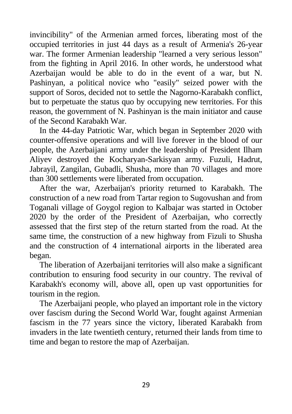invincibility" of the Armenian armed forces, liberating most of the occupied territories in just 44 days as a result of Armenia's 26-year war. The former Armenian leadership "learned a very serious lesson" from the fighting in April 2016. In other words, he understood what Azerbaijan would be able to do in the event of a war, but N. Pashinyan, a political novice who "easily" seized power with the support of Soros, decided not to settle the Nagorno-Karabakh conflict, but to perpetuate the status quo by occupying new territories. For this reason, the government of N. Pashinyan is the main initiator and cause of the Second Karabakh War.

In the 44-day Patriotic War, which began in September 2020 with counter-offensive operations and will live forever in the blood of our people, the Azerbaijani army under the leadership of President Ilham Aliyev destroyed the Kocharyan-Sarkisyan army. Fuzuli, Hadrut, Jabrayil, Zangilan, Gubadli, Shusha, more than 70 villages and more than 300 settlements were liberated from occupation.

After the war, Azerbaijan's priority returned to Karabakh. The construction of a new road from Tartar region to Sugovushan and from Toganali village of Goygol region to Kalbajar was started in October 2020 by the order of the President of Azerbaijan, who correctly assessed that the first step of the return started from the road. At the same time, the construction of a new highway from Fizuli to Shusha and the construction of 4 international airports in the liberated area began.

The liberation of Azerbaijani territories will also make a significant contribution to ensuring food security in our country. The revival of Karabakh's economy will, above all, open up vast opportunities for tourism in the region.

The Azerbaijani people, who played an important role in the victory over fascism during the Second World War, fought against Armenian fascism in the 77 years since the victory, liberated Karabakh from invaders in the late twentieth century, returned their lands from time to time and began to restore the map of Azerbaijan.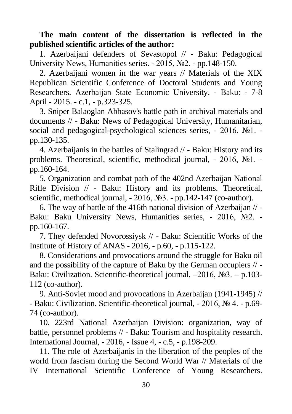**The main content of the dissertation is reflected in the published scientific articles of the author:**

1. Azerbaijani defenders of Sevastopol // - Baku: Pedagogical University News, Humanities series. - 2015, №2. - pp.148-150.

2. Azerbaijani women in the war years // Materials of the XIX Republican Scientific Conference of Doctoral Students and Young Researchers. Azerbaijan State Economic University. - Baku: - 7-8 April - 2015. - c.1, - p.323-325.

3. Sniper Balaoglan Abbasov's battle path in archival materials and documents // - Baku: News of Pedagogical University, Humanitarian, social and pedagogical-psychological sciences series, - 2016, №1. pp.130-135.

4. Azerbaijanis in the battles of Stalingrad // - Baku: History and its problems. Theoretical, scientific, methodical journal, - 2016, №1. pp.160-164.

5. Organization and combat path of the 402nd Azerbaijan National Rifle Division // - Baku: History and its problems. Theoretical, scientific, methodical journal, - 2016, №3. - pp.142-147 (co-author).

6. The way of battle of the 416th national division of Azerbaijan // - Baku: Baku University News, Humanities series, - 2016, №2. pp.160-167.

7. They defended Novorossiysk // - Baku: Scientific Works of the Institute of History of ANAS - 2016, - p.60, - p.115-122.

8. Considerations and provocations around the struggle for Baku oil and the possibility of the capture of Baku by the German occupiers // - Baku: Civilization. Scientific-theoretical journal, –2016, №3. – p.103- 112 (co-author).

9. Anti-Soviet mood and provocations in Azerbaijan (1941-1945) // - Baku: Civilization. Scientific-theoretical journal, - 2016, № 4. - p.69- 74 (co-author).

10. 223rd National Azerbaijan Division: organization, way of battle, personnel problems // - Baku: Tourism and hospitality research. International Journal, - 2016, - Issue 4, - c.5, - p.198-209.

11. The role of Azerbaijanis in the liberation of the peoples of the world from fascism during the Second World War // Materials of the IV International Scientific Conference of Young Researchers.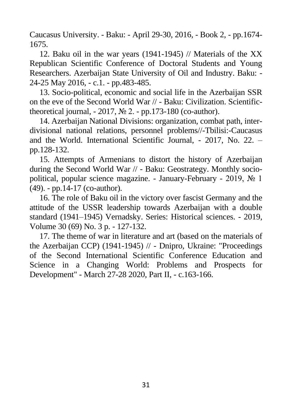Caucasus University. - Baku: - April 29-30, 2016, - Book 2, - pp.1674- 1675.

12. Baku oil in the war years (1941-1945) // Materials of the XX Republican Scientific Conference of Doctoral Students and Young Researchers. Azerbaijan State University of Oil and Industry. Baku: - 24-25 May 2016, - c.1. - pp.483-485.

13. Socio-political, economic and social life in the Azerbaijan SSR on the eve of the Second World War // - Baku: Civilization. Scientifictheoretical journal,  $-2017$ ,  $\mathcal{N}$  2.  $-$  pp.173-180 (co-author).

14. Azerbaijan National Divisions: organization, combat path, interdivisional national relations, personnel problems//-Tbilisi:-Caucasus and the World. International Scientific Journal, - 2017, No. 22. – pp.128-132.

15. Attempts of Armenians to distort the history of Azerbaijan during the Second World War // - Baku: Geostrategy. Monthly sociopolitical, popular science magazine. - January-February - 2019, № 1 (49). - pp.14-17 (co-author).

16. The role of Baku oil in the victory over fascist Germany and the attitude of the USSR leadership towards Azerbaijan with a double standard (1941–1945) Vernadsky. Series: Historical sciences. - 2019, Volume 30 (69) No. 3 p. - 127-132.

17. The theme of war in literature and art (based on the materials of the Azerbaijan CCP) (1941-1945) // - Dnipro, Ukraine: "Proceedings of the Second International Scientific Conference Education and Science in a Changing World: Problems and Prospects for Development" - March 27-28 2020, Part II, - c.163-166.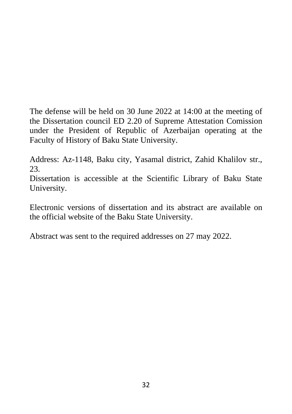The defense will be held on 30 June 2022 at 14:00 at the meeting of the Dissertation council ED 2.20 of Supreme Attestation Comission under the President of Republic of Azerbaijan operating at the Faculty of History of Baku State University.

Address: Az-1148, Baku city, Yasamal district, Zahid Khalilov str., 23.

Dissertation is accessible at the Scientific Library of Baku State University.

Electronic versions of dissertation and its abstract are available on the official website of the Baku State University.

Abstract was sent to the required addresses on 27 may 2022.